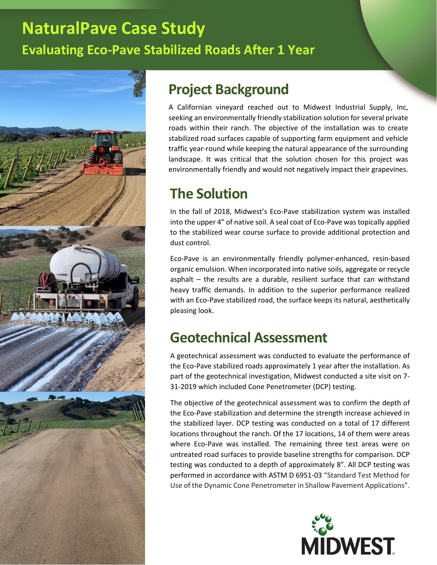# **NaturalPave Case Study Evaluating Eco-Pave Stabilized Roads After 1 Year**



## **Project Background**

A Californian vineyard reached out to Midwest Industrial Supply, Inc, seeking an environmentally friendly stabilization solution for several private roads within their ranch. The objective of the installation was to create stabilized road surfaces capable of supporting farm equipment and vehicle traffic year-round while keeping the natural appearance of the surrounding landscape. It was critical that the solution chosen for this project was environmentally friendly and would not negatively impact their grapevines.

## **The Solution**

In the fall of 2018, Midwest's Eco-Pave stabilization system was installed into the upper 4" of native soil. A seal coat of Eco-Pave was topically applied to the stabilized wear course surface to provide additional protection and dust control.

Eco-Pave is an environmentally friendly polymer-enhanced, resin-based organic emulsion. When incorporated into native soils, aggregate or recycle asphalt – the results are a durable, resilient surface that can withstand heavy traffic demands. In addition to the superior performance realized with an Eco-Pave stabilized road, the surface keeps its natural, aesthetically pleasing look.

## **Geotechnical Assessment**

A geotechnical assessment was conducted to evaluate the performance of the Eco-Pave stabilized roads approximately 1 year after the installation. As part of the geotechnical investigation, Midwest conducted a site visit on 7- 31-2019 which included Cone Penetrometer (DCP) testing.

The objective of the geotechnical assessment was to confirm the depth of the Eco-Pave stabilization and determine the strength increase achieved in the stabilized layer. DCP testing was conducted on a total of 17 different locations throughout the ranch. Of the 17 locations, 14 of them were areas where Eco-Pave was installed. The remaining three test areas were on untreated road surfaces to provide baseline strengths for comparison. DCP testing was conducted to a depth of approximately 8". All DCP testing was performed in accordance with ASTM D 6951-03 "Standard Test Method for Use of the Dynamic Cone Penetrometer in Shallow Pavement Applications".